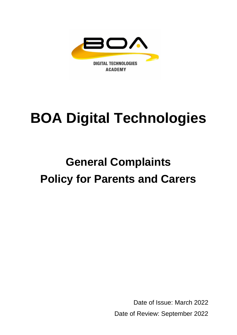

# **BOA Digital Technologies**

## **General Complaints Policy for Parents and Carers**

Date of Issue: March 2022 Date of Review: September 2022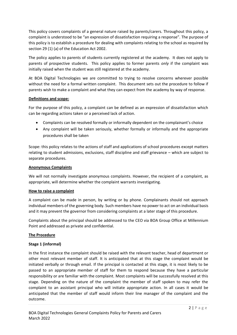This policy covers complaints of a general nature raised by parents/carers. Throughout this policy, a complaint is understood to be "an expression of dissatisfaction requiring a response". The purpose of this policy is to establish a procedure for dealing with complaints relating to the school as required by section 29 (1) (a) of the Education Act 2002.

The policy applies to parents of students currently registered at the academy. It does not apply to parents of prospective students. This policy applies to former parents *only* if the complaint was initially raised when the student was still registered at the academy.

At BOA Digital Technologies we are committed to trying to resolve concerns wherever possible without the need for a formal written complaint. This document sets out the procedure to follow if parents wish to make a complaint and what they can expect from the academy by way of response.

### **Definitions and scope:**

For the purpose of this policy, a complaint can be defined as an expression of dissatisfaction which can be regarding actions taken or a perceived lack of action.

- Complaints can be resolved formally or informally dependent on the complainant's choice
- Any complaint will be taken seriously, whether formally or informally and the appropriate procedures shall be taken

Scope: this policy relates to the actions of staff and applications of school procedures except matters relating to student admissions, exclusions, staff discipline and staff grievance – which are subject to separate procedures.

#### **Anonymous Complaints**

We will not normally investigate anonymous complaints. However, the recipient of a complaint, as appropriate, will determine whether the complaint warrants investigating.

### **How to raise a complaint**

A complaint can be made in person, by writing or by phone. Complainants should not approach individual members of the governing body. Such members have no power to act on an individual basis and it may prevent the governor from considering complaints at a later stage of this procedure.

Complaints about the principal should be addressed to the CEO via BOA Group Office at Millennium Point and addressed as private and confidential.

### **The Procedure**

### **Stage 1 (informal)**

In the first instance the complaint should be raised with the relevant teacher, head of department or other most relevant member of staff. It is anticipated that at this stage the complaint would be initiated verbally or through email. If the principal is contacted at this stage, it is most likely to be passed to an appropriate member of staff for them to respond because they have a particular responsibility or are familiar with the complaint. Most complaints will be successfully resolved at this stage. Depending on the nature of the complaint the member of staff spoken to may refer the complaint to an assistant principal who will initiate appropriate action. In all cases it would be anticipated that the member of staff would inform their line manager of the complaint and the outcome.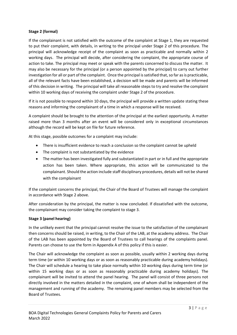### **Stage 2 (formal)**

If the complainant is not satisfied with the outcome of the complaint at Stage 1, they are requested to put their complaint, with details, in writing to the principal under Stage 2 of this procedure. The principal will acknowledge receipt of the complaint as soon as practicable and normally within 2 working days. The principal will decide, after considering the complaint, the appropriate course of action to take. The principal may meet or speak with the parents concerned to discuss the matter. It may also be necessary for the principal (or a person appointed by the principal) to carry out further investigation for all or part of the complaint. Once the principal is satisfied that, so far as is practicable, all of the relevant facts have been established, a decision will be made and parents will be informed of this decision in writing. The principal will take all reasonable steps to try and resolve the complaint within 10 working days of receiving the complaint under Stage 2 of the procedure.

If it is not possible to respond within 10 days, the principal will provide a written update stating these reasons and informing the complainant of a time in which a response will be received.

A complaint should be brought to the attention of the principal at the earliest opportunity. A matter raised more than 3 months after an event will be considered only in exceptional circumstances although the record will be kept on file for future reference.

At this stage, possible outcomes for a complaint may include:

- There is insufficient evidence to reach a conclusion so the complaint cannot be upheld
- The complaint is not substantiated by the evidence
- The matter has been investigated fully and substantiated in part or in full and the appropriate action has been taken. Where appropriate, this action will be communicated to the complainant. Should the action include staff disciplinary procedures, details will not be shared with the complainant

If the complaint concerns the principal, the Chair of the Board of Trustees will manage the complaint in accordance with Stage 2 above.

After consideration by the principal, the matter is now concluded. If dissatisfied with the outcome, the complainant may consider taking the complaint to stage 3.

### **Stage 3 (panel hearing)**

In the unlikely event that the principal cannot resolve the issue to the satisfaction of the complainant then concerns should be raised, in writing, to the Chair of the LAB, at the academy address. The Chair of the LAB has been appointed by the Board of Trustees to call hearings of the complaints panel. Parents can choose to use the form in Appendix A of this policy if this is easier.

The Chair will acknowledge the complaint as soon as possible, usually within 2 working days during term time (or within 10 working days or as soon as reasonably practicable during academy holidays). The Chair will schedule a hearing to take place normally within 10 working days during term time (or within 15 working days or as soon as reasonably practicable during academy holidays). The complainant will be invited to attend the panel hearing. The panel will consist of three persons not directly involved in the matters detailed in the complaint, one of whom shall be independent of the management and running of the academy. The remaining panel members may be selected from the Board of Trustees.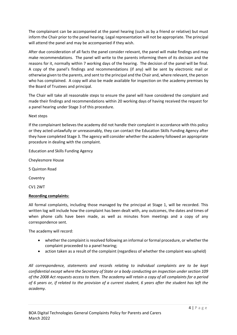The complainant can be accompanied at the panel hearing (such as by a friend or relative) but must inform the Chair prior to the panel hearing. Legal representation will not be appropriate. The principal will attend the panel and may be accompanied if they wish.

After due consideration of all facts the panel consider relevant, the panel will make findings and may make recommendations. The panel will write to the parents informing them of its decision and the reasons for it, normally within 7 working days of the hearing. The decision of the panel will be final. A copy of the panel's findings and recommendations (if any) will be sent by electronic mail or otherwise given to the parents, and sent to the principal and the Chair and, where relevant, the person who has complained. A copy will also be made available for inspection on the academy premises by the Board of Trustees and principal.

The Chair will take all reasonable steps to ensure the panel will have considered the complaint and made their findings and recommendations within 20 working days of having received the request for a panel hearing under Stage 3 of this procedure.

Next steps

If the complainant believes the academy did not handle their complaint in accordance with this policy or they acted unlawfully or unreasonably, they can contact the Education Skills Funding Agency after they have completed Stage 3. The agency will consider whether the academy followed an appropriate procedure in dealing with the complaint.

Education and Skills Funding Agency

Cheylesmore House

5 Quinton Road

Coventry

CV1 2WT

### **Recording complaints:**

All formal complaints, including those managed by the principal at Stage 1, will be recorded. This written log will include how the complaint has been dealt with, any outcomes, the dates and times of when phone calls have been made, as well as minutes from meetings and a copy of any correspondence sent.

The academy will record:

- whether the complaint is resolved following an informal or formal procedure, or whether the complaint proceeded to a panel hearing;
- action taken as a result of the complaint (regardless of whether the complaint was upheld)

*All correspondence, statements and records relating to individual complaints are to be kept confidential except where the Secretary of State or a body conducting an inspection under section 109 of the 2008 Act requests access to them. The academy will retain a copy of all complaints for a period of 6 years or, if related to the provision of a current student, 6 years after the student has left the academy.*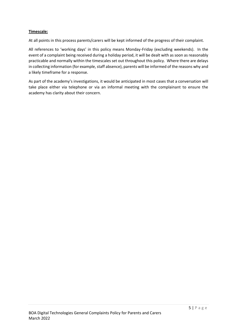### **Timescale:**

At all points in this process parents/carers will be kept informed of the progress of their complaint.

All references to 'working days' in this policy means Monday-Friday (excluding weekends). In the event of a complaint being received during a holiday period, it will be dealt with as soon as reasonably practicable and normally within the timescales set out throughout this policy. Where there are delays in collecting information (for example, staff absence), parents will be informed of the reasons why and a likely timeframe for a response.

As part of the academy's investigations, it would be anticipated in most cases that a conversation will take place either via telephone or via an informal meeting with the complainant to ensure the academy has clarity about their concern.